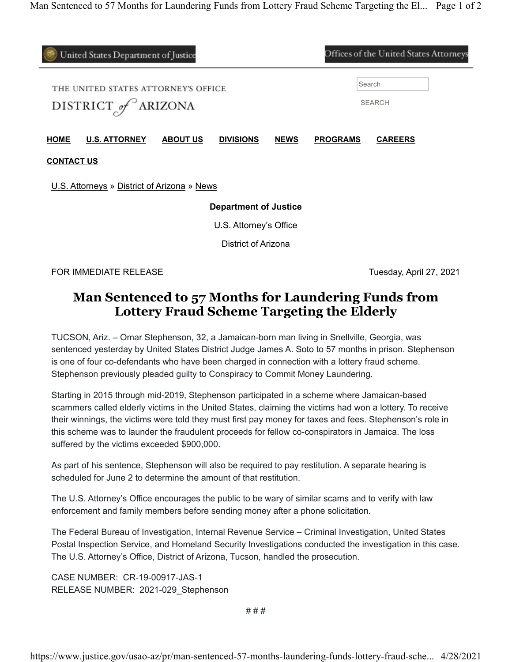| Offices of the United States Attorneys<br>United States Department of Justice |                      |                 |                  |             |                         |                |  |
|-------------------------------------------------------------------------------|----------------------|-----------------|------------------|-------------|-------------------------|----------------|--|
| THE UNITED STATES ATTORNEY'S OFFICE<br>DISTRICT of ARIZONA                    |                      |                 |                  |             | Search<br><b>SEARCH</b> |                |  |
| <b>HOME</b>                                                                   | <b>U.S. ATTORNEY</b> | <b>ABOUT US</b> | <b>DIVISIONS</b> | <b>NEWS</b> | <b>PROGRAMS</b>         | <b>CAREERS</b> |  |
| <b>CONTACT US</b><br>U.S. Attorneys » District of Arizona » News              |                      |                 |                  |             |                         |                |  |
| <b>Department of Justice</b>                                                  |                      |                 |                  |             |                         |                |  |
| U.S. Attorney's Office                                                        |                      |                 |                  |             |                         |                |  |
| District of Arizona                                                           |                      |                 |                  |             |                         |                |  |
|                                                                               |                      |                 |                  |             |                         |                |  |

FOR IMMEDIATE RELEASE Tuesday, April 27, 2021

## **Man Sentenced to 57 Months for Laundering Funds from Lottery Fraud Scheme Targeting the Elderly**

TUCSON, Ariz. – Omar Stephenson, 32, a Jamaican-born man living in Snellville, Georgia, was sentenced yesterday by United States District Judge James A. Soto to 57 months in prison. Stephenson is one of four co-defendants who have been charged in connection with a lottery fraud scheme. Stephenson previously pleaded guilty to Conspiracy to Commit Money Laundering.

Starting in 2015 through mid-2019, Stephenson participated in a scheme where Jamaican-based scammers called elderly victims in the United States, claiming the victims had won a lottery. To receive their winnings, the victims were told they must first pay money for taxes and fees. Stephenson's role in this scheme was to launder the fraudulent proceeds for fellow co-conspirators in Jamaica. The loss suffered by the victims exceeded \$900,000.

As part of his sentence, Stephenson will also be required to pay restitution. A separate hearing is scheduled for June 2 to determine the amount of that restitution.

The U.S. Attorney's Office encourages the public to be wary of similar scams and to verify with law enforcement and family members before sending money after a phone solicitation.

The Federal Bureau of Investigation, Internal Revenue Service – Criminal Investigation, United States Postal Inspection Service, and Homeland Security Investigations conducted the investigation in this case. The U.S. Attorney's Office, District of Arizona, Tucson, handled the prosecution.

CASE NUMBER: CR-19-00917-JAS-1 RELEASE NUMBER: 2021-029\_Stephenson

# # #